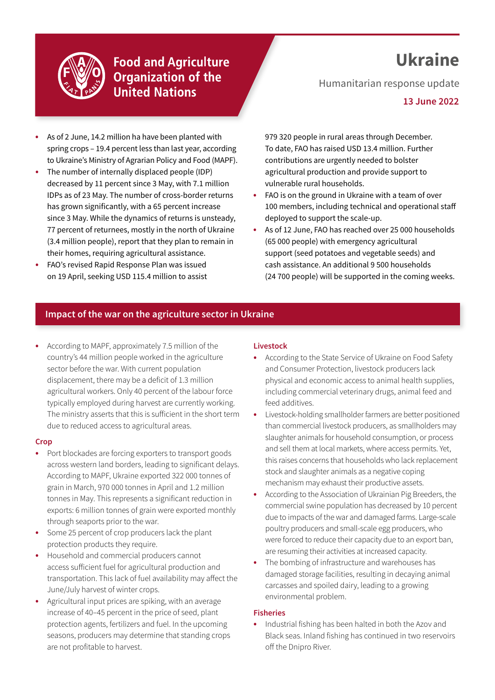

# **Food and Agriculture Organization of the United Nations**

# **Ukraine**

Humanitarian response update

**13 June 2022**

- **•** As of 2 June, 14.2 million ha have been planted with spring crops – 19.4 percent less than last year, according to Ukraine's Ministry of Agrarian Policy and Food (MAPF).
- **•** The number of internally displaced people (IDP) decreased by 11 percent since 3 May, with 7.1 million IDPs as of 23 May. The number of cross-border returns has grown significantly, with a 65 percent increase since 3 May. While the dynamics of returns is unsteady, 77 percent of returnees, mostly in the north of Ukraine (3.4 million people), report that they plan to remain in their homes, requiring agricultural assistance.
- **•** FAO's revised Rapid Response Plan was issued on 19 April, seeking USD 115.4 million to assist

979 320 people in rural areas through December. To date, FAO has raised USD 13.4 million. Further contributions are urgently needed to bolster agricultural production and provide support to vulnerable rural households.

- **•** FAO is on the ground in Ukraine with a team of over 100 members, including technical and operational staff deployed to support the scale-up.
- **•** As of 12 June, FAO has reached over 25 000 households (65 000 people) with emergency agricultural support (seed potatoes and vegetable seeds) and cash assistance. An additional 9 500 households (24 700 people) will be supported in the coming weeks.

## **Impact of the war on the agriculture sector in Ukraine**

**•** According to MAPF, approximately 7.5 million of the country's 44 million people worked in the agriculture sector before the war. With current population displacement, there may be a deficit of 1.3 million agricultural workers. Only 40 percent of the labour force typically employed during harvest are currently working. The ministry asserts that this is sufficient in the short term due to reduced access to agricultural areas.

#### **Crop**

- **•** Port blockades are forcing exporters to transport goods across western land borders, leading to significant delays. According to MAPF, Ukraine exported 322 000 tonnes of grain in March, 970 000 tonnes in April and 1.2 million tonnes in May. This represents a significant reduction in exports: 6 million tonnes of grain were exported monthly through seaports prior to the war.
- **•** Some 25 percent of crop producers lack the plant protection products they require.
- **•** Household and commercial producers cannot access sufficient fuel for agricultural production and transportation. This lack of fuel availability may affect the June/July harvest of winter crops.
- **•** Agricultural input prices are spiking, with an average increase of 40–45 percent in the price of seed, plant protection agents, fertilizers and fuel. In the upcoming seasons, producers may determine that standing crops are not profitable to harvest.

#### **Livestock**

- **•** According to the State Service of Ukraine on Food Safety and Consumer Protection, livestock producers lack physical and economic access to animal health supplies, including commercial veterinary drugs, animal feed and feed additives.
- **•** Livestock-holding smallholder farmers are better positioned than commercial livestock producers, as smallholders may slaughter animals for household consumption, or process and sell them at local markets, where access permits. Yet, this raises concerns that households who lack replacement stock and slaughter animals as a negative coping mechanism may exhaust their productive assets.
- **•** According to the Association of Ukrainian Pig Breeders, the commercial swine population has decreased by 10 percent due to impacts of the war and damaged farms. Large-scale poultry producers and small-scale egg producers, who were forced to reduce their capacity due to an export ban, are resuming their activities at increased capacity.
- **•** The bombing of infrastructure and warehouses has damaged storage facilities, resulting in decaying animal carcasses and spoiled dairy, leading to a growing environmental problem.

#### **Fisheries**

**•** Industrial fishing has been halted in both the Azov and Black seas. Inland fishing has continued in two reservoirs off the Dnipro River.